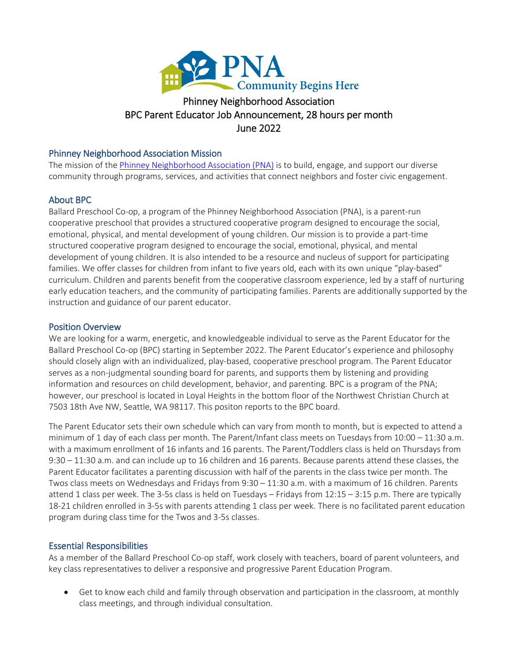

# BPC Parent Educator Job Announcement, 28 hours per month ghborhood A<br>Announceme<br>June 2022

#### Phinney Neighborhood Association Mission

The mission of th[e Phinney Neighborhood Association \(PNA\)](http://www.phinneycenter.org/) is to build, engage, and support our diverse community through programs, services, and activities that connect neighbors and foster civic engagement.

### About BPC

Ballard Preschool Co-op, a program of the Phinney Neighborhood Association (PNA), is a parent-run cooperative preschool that provides a structured cooperative program designed to encourage the social, emotional, physical, and mental development of young children. Our mission is to provide a part-time structured cooperative program designed to encourage the social, emotional, physical, and mental development of young children. It is also intended to be a resource and nucleus of support for participating families. We offer classes for children from infant to five years old, each with its own unique "play-based" curriculum. Children and parents benefit from the cooperative classroom experience, led by a staff of nurturing early education teachers, and the community of participating families. Parents are additionally supported by the instruction and guidance of our parent educator.

#### Position Overview

We are looking for a warm, energetic, and knowledgeable individual to serve as the Parent Educator for the Ballard Preschool Co-op (BPC) starting in September 2022. The Parent Educator's experience and philosophy should closely align with an individualized, play-based, cooperative preschool program. The Parent Educator serves as a non-judgmental sounding board for parents, and supports them by listening and providing information and resources on child development, behavior, and parenting. BPC is a program of the PNA; however, our preschool is located in Loyal Heights in the bottom floor of the Northwest Christian Church at 7503 18th Ave NW, Seattle, WA 98117. This positon reports to the BPC board.

The Parent Educator sets their own schedule which can vary from month to month, but is expected to attend a minimum of 1 day of each class per month. The Parent/Infant class meets on Tuesdays from 10:00 – 11:30 a.m. with a maximum enrollment of 16 infants and 16 parents. The Parent/Toddlers class is held on Thursdays from 9:30 – 11:30 a.m. and can include up to 16 children and 16 parents. Because parents attend these classes, the Parent Educator facilitates a parenting discussion with half of the parents in the class twice per month. The Twos class meets on Wednesdays and Fridays from 9:30 – 11:30 a.m. with a maximum of 16 children. Parents attend 1 class per week. The 3-5s class is held on Tuesdays – Fridays from 12:15 – 3:15 p.m. There are typically 18-21 children enrolled in 3-5s with parents attending 1 class per week. There is no facilitated parent education program during class time for the Twos and 3-5s classes.

#### Essential Responsibilities

As a member of the Ballard Preschool Co-op staff, work closely with teachers, board of parent volunteers, and key class representatives to deliver a responsive and progressive Parent Education Program.

• Get to know each child and family through observation and participation in the classroom, at monthly class meetings, and through individual consultation.